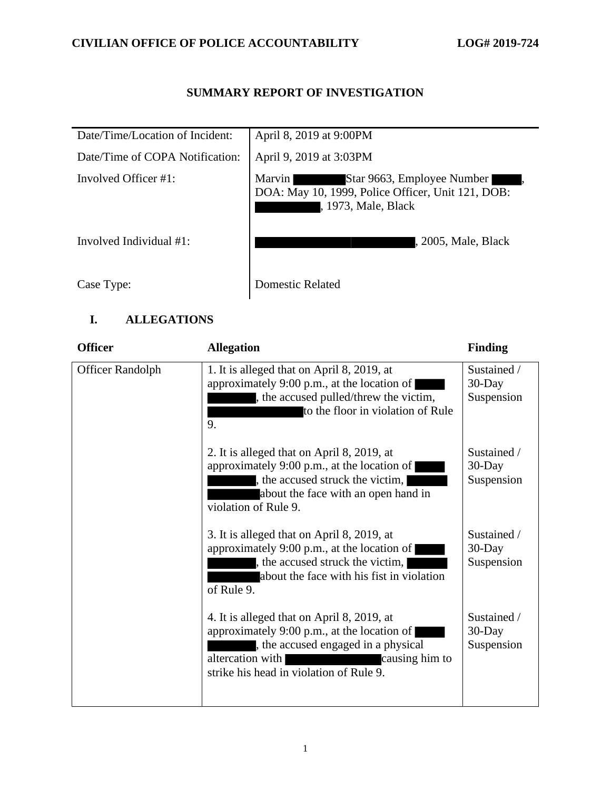## **SUMMARY REPORT OF INVESTIGATION**

| Date/Time/Location of Incident: | April 8, 2019 at 9:00PM                                                                                          |
|---------------------------------|------------------------------------------------------------------------------------------------------------------|
| Date/Time of COPA Notification: | April 9, 2019 at 3:03PM                                                                                          |
| Involved Officer $#1$ :         | Star 9663, Employee Number<br>Marvin<br>DOA: May 10, 1999, Police Officer, Unit 121, DOB:<br>, 1973, Male, Black |
| Involved Individual #1:         | , 2005, Male, Black                                                                                              |
| Case Type:                      | Domestic Related                                                                                                 |

## **I. ALLEGATIONS**

| <b>Officer</b>          | <b>Allegation</b>                                                                                                                                                                                              | <b>Finding</b>                         |
|-------------------------|----------------------------------------------------------------------------------------------------------------------------------------------------------------------------------------------------------------|----------------------------------------|
| <b>Officer Randolph</b> | 1. It is alleged that on April 8, 2019, at<br>approximately 9:00 p.m., at the location of<br>, the accused pulled/threw the victim,<br>to the floor in violation of Rule<br>9.                                 | Sustained /<br>30-Day<br>Suspension    |
|                         | 2. It is alleged that on April 8, 2019, at<br>approximately 9:00 p.m., at the location of<br>, the accused struck the victim,<br>about the face with an open hand in<br>violation of Rule 9.                   | Sustained /<br>30-Day<br>Suspension    |
|                         | 3. It is alleged that on April 8, 2019, at<br>approximately 9:00 p.m., at the location of<br>, the accused struck the victim,<br>about the face with his fist in violation<br>of Rule 9.                       | Sustained /<br>$30$ -Day<br>Suspension |
|                         | 4. It is alleged that on April 8, 2019, at<br>approximately 9:00 p.m., at the location of<br>, the accused engaged in a physical<br>altercation with causing him to<br>strike his head in violation of Rule 9. | Sustained /<br>30-Day<br>Suspension    |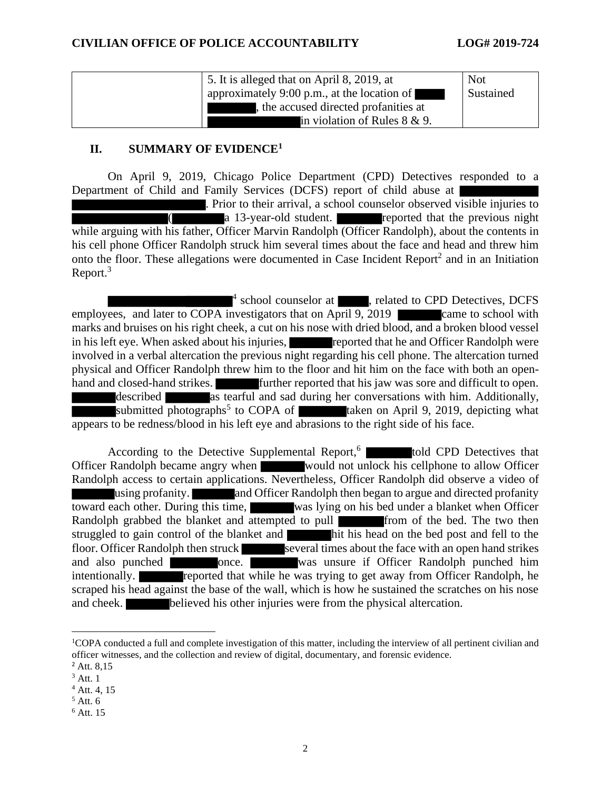| 5. It is alleged that on April 8, 2019, at  | <b>Not</b> |
|---------------------------------------------|------------|
| approximately 9:00 p.m., at the location of | Sustained  |
| the accused directed profanities at         |            |
| in violation of Rules $8 \& 9$ .            |            |

### **II. SUMMARY OF EVIDENCE<sup>1</sup>**

On April 9, 2019, Chicago Police Department (CPD) Detectives responded to a Department of Child and Family Services (DCFS) report of child abuse at

. Prior to their arrival, a school counselor observed visible injuries to (a 13-year-old student. reported that the previous night while arguing with his father, Officer Marvin Randolph (Officer Randolph), about the contents in his cell phone Officer Randolph struck him several times about the face and head and threw him onto the floor. These allegations were documented in Case Incident Report<sup>2</sup> and in an Initiation Report.<sup>3</sup>

<sup>4</sup> school counselor at , related to CPD Detectives, DCFS employees, and later to COPA investigators that on April 9, 2019 came to school with marks and bruises on his right cheek, a cut on his nose with dried blood, and a broken blood vessel in his left eye. When asked about his injuries, reported that he and Officer Randolph were involved in a verbal altercation the previous night regarding his cell phone. The altercation turned physical and Officer Randolph threw him to the floor and hit him on the face with both an openhand and closed-hand strikes. **Further reported that his jaw was sore and difficult to open.** described as tearful and sad during her conversations with him. Additionally, submitted photographs<sup>5</sup> to COPA of taken on April 9, 2019, depicting what appears to be redness/blood in his left eye and abrasions to the right side of his face.

According to the Detective Supplemental Report,<sup>6</sup> **that** told CPD Detectives that Officer Randolph became angry when would not unlock his cellphone to allow Officer Randolph access to certain applications. Nevertheless, Officer Randolph did observe a video of using profanity. **Alternative and Officer Randolph then began to argue and directed profanity** toward each other. During this time, was lying on his bed under a blanket when Officer Randolph grabbed the blanket and attempted to pull from of the bed. The two then struggled to gain control of the blanket and hit his head on the bed post and fell to the floor. Officer Randolph then struck several times about the face with an open hand strikes and also punched **once**. Was unsure if Officer Randolph punched him intentionally. **reported that while he was trying to get away from Officer Randolph, he** scraped his head against the base of the wall, which is how he sustained the scratches on his nose and cheek. believed his other injuries were from the physical altercation.

- $4$  Att. 4, 15
- $<sup>5</sup>$  Att. 6</sup>

<sup>&</sup>lt;sup>1</sup>COPA conducted a full and complete investigation of this matter, including the interview of all pertinent civilian and officer witnesses, and the collection and review of digital, documentary, and forensic evidence.

 $^{2}$  Att. 8.15

 $3$  Att. 1

<sup>6</sup> Att. 15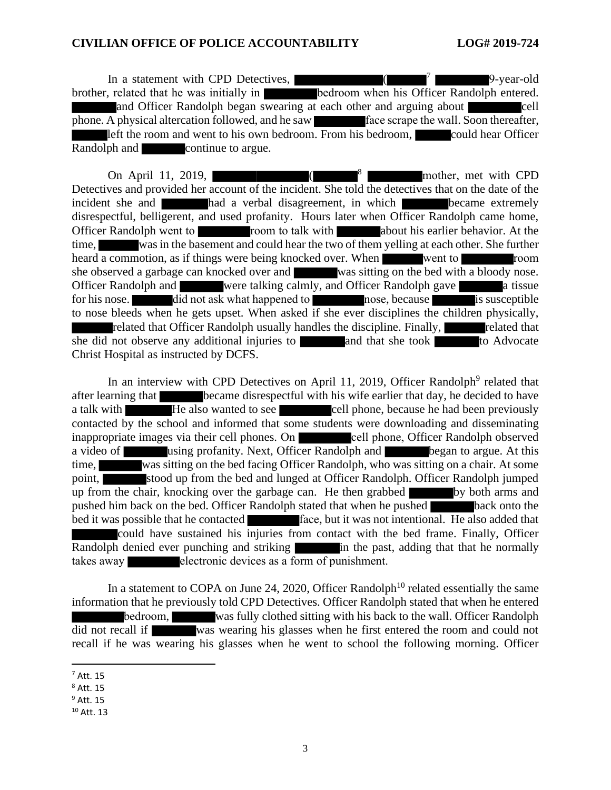#### **CIVILIAN OFFICE OF POLICE ACCOUNTABILITY LOG# 2019-724**

In a statement with CPD Detectives, 7 9-year-old brother, related that he was initially in **bedroom** when his Officer Randolph entered. and Officer Randolph began swearing at each other and arguing about cell phone. A physical altercation followed, and he saw face scrape the wall. Soon thereafter, left the room and went to his own bedroom. From his bedroom, could hear Officer Randolph and **continue to argue.** 

On April 11, 2019, mother, met with CPD Detectives and provided her account of the incident. She told the detectives that on the date of the incident she and **had a verbal disagreement**, in which **became extremely** disrespectful, belligerent, and used profanity. Hours later when Officer Randolph came home, Officer Randolph went to room to talk with about his earlier behavior. At the time, was in the basement and could hear the two of them yelling at each other. She further heard a commotion, as if things were being knocked over. When went to room room she observed a garbage can knocked over and was sitting on the bed with a bloody nose. Officer Randolph and were talking calmly, and Officer Randolph gave a tissue for his nose. did not ask what happened to nose, because is susceptible to nose bleeds when he gets upset. When asked if she ever disciplines the children physically, related that Officer Randolph usually handles the discipline. Finally, related that she did not observe any additional injuries to and that she took to Advocate Christ Hospital as instructed by DCFS.

In an interview with CPD Detectives on April 11, 2019, Officer Randolph<sup>9</sup> related that after learning that became disrespectful with his wife earlier that day, he decided to have a talk with **He** also wanted to see cell phone, because he had been previously contacted by the school and informed that some students were downloading and disseminating inappropriate images via their cell phones. On cell phone, Officer Randolph observed a video of using profanity. Next, Officer Randolph and began to argue. At this time, was sitting on the bed facing Officer Randolph, who was sitting on a chair. At some point, stood up from the bed and lunged at Officer Randolph. Officer Randolph jumped up from the chair, knocking over the garbage can. He then grabbed by both arms and pushed him back on the bed. Officer Randolph stated that when he pushed back onto the bed it was possible that he contacted face, but it was not intentional. He also added that could have sustained his injuries from contact with the bed frame. Finally, Officer Randolph denied ever punching and striking in the past, adding that that he normally takes away electronic devices as a form of punishment.

In a statement to COPA on June 24, 2020, Officer Randolph<sup>10</sup> related essentially the same information that he previously told CPD Detectives. Officer Randolph stated that when he entered bedroom, was fully clothed sitting with his back to the wall. Officer Randolph did not recall if was wearing his glasses when he first entered the room and could not recall if he was wearing his glasses when he went to school the following morning. Officer

 $<sup>7</sup>$  Att. 15</sup>

<sup>8</sup> Att. 15

 $9$  Att. 15

<sup>10</sup> Att. 13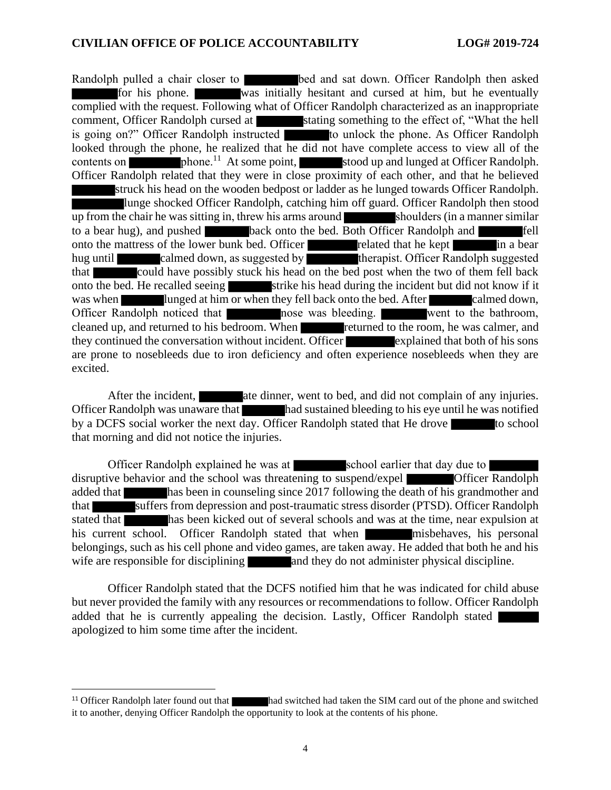Randolph pulled a chair closer to bed and sat down. Officer Randolph then asked for his phone. was initially hesitant and cursed at him, but he eventually complied with the request. Following what of Officer Randolph characterized as an inappropriate comment, Officer Randolph cursed at stating something to the effect of, "What the hell is going on?" Officer Randolph instructed to unlock the phone. As Officer Randolph looked through the phone, he realized that he did not have complete access to view all of the contents on  $\blacksquare$  phone.<sup>11</sup> At some point, stood up and lunged at Officer Randolph. Officer Randolph related that they were in close proximity of each other, and that he believed struck his head on the wooden bedpost or ladder as he lunged towards Officer Randolph. lunge shocked Officer Randolph, catching him off guard. Officer Randolph then stood up from the chair he was sitting in, threw his arms around shoulders (in a manner similar to a bear hug), and pushed back onto the bed. Both Officer Randolph and **fell** onto the mattress of the lower bunk bed. Officer related that he kept in a bear hug until calmed down, as suggested by the rapist. Officer Randolph suggested that could have possibly stuck his head on the bed post when the two of them fell back onto the bed. He recalled seeing strike his head during the incident but did not know if it was when lunged at him or when they fell back onto the bed. After calmed down, Officer Randolph noticed that nose was bleeding. went to the bathroom, cleaned up, and returned to his bedroom. When returned to the room, he was calmer, and they continued the conversation without incident. Officer explained that both of his sons are prone to nosebleeds due to iron deficiency and often experience nosebleeds when they are excited.

After the incident, and did not complain of any injuries. Officer Randolph was unaware that had sustained bleeding to his eye until he was notified by a DCFS social worker the next day. Officer Randolph stated that He drove to school that morning and did not notice the injuries.

Officer Randolph explained he was at school earlier that day due to disruptive behavior and the school was threatening to suspend/expel **Conservation** Officer Randolph added that has been in counseling since 2017 following the death of his grandmother and that suffers from depression and post-traumatic stress disorder (PTSD). Officer Randolph stated that has been kicked out of several schools and was at the time, near expulsion at his current school. Officer Randolph stated that when misbehaves, his personal belongings, such as his cell phone and video games, are taken away. He added that both he and his wife are responsible for disciplining and they do not administer physical discipline.

Officer Randolph stated that the DCFS notified him that he was indicated for child abuse but never provided the family with any resources or recommendations to follow. Officer Randolph added that he is currently appealing the decision. Lastly, Officer Randolph stated apologized to him some time after the incident.

<sup>&</sup>lt;sup>11</sup> Officer Randolph later found out that had switched had taken the SIM card out of the phone and switched it to another, denying Officer Randolph the opportunity to look at the contents of his phone.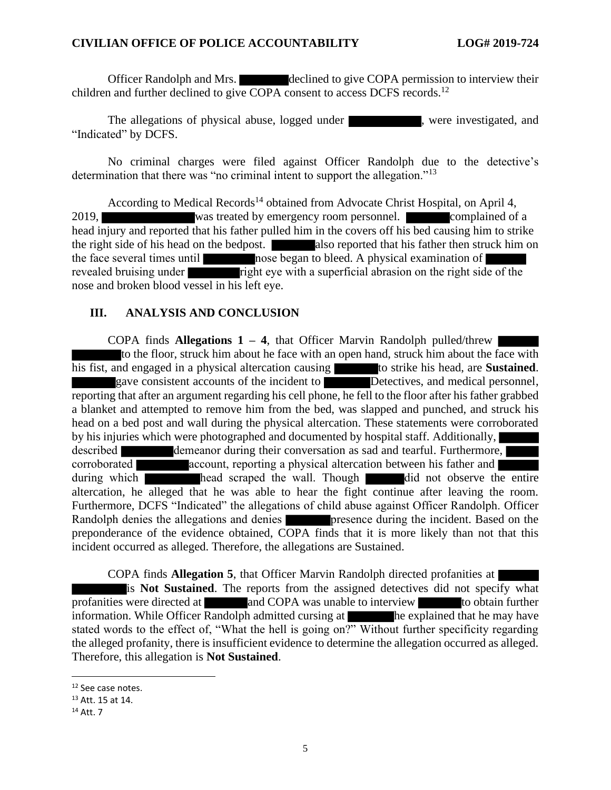#### **CIVILIAN OFFICE OF POLICE ACCOUNTABILITY LOG# 2019-724**

Officer Randolph and Mrs. declined to give COPA permission to interview their children and further declined to give COPA consent to access DCFS records.<sup>12</sup>

The allegations of physical abuse, logged under **Fig. 3.1.**, were investigated, and "Indicated" by DCFS.

No criminal charges were filed against Officer Randolph due to the detective's determination that there was "no criminal intent to support the allegation."<sup>13</sup>

According to Medical Records<sup>14</sup> obtained from Advocate Christ Hospital, on April 4, 2019, was treated by emergency room personnel. Complained of a head injury and reported that his father pulled him in the covers off his bed causing him to strike the right side of his head on the bedpost. also reported that his father then struck him on the face several times until nose began to bleed. A physical examination of revealed bruising under right eye with a superficial abrasion on the right side of the nose and broken blood vessel in his left eye.

### **III. ANALYSIS AND CONCLUSION**

COPA finds **Allegations 1 – 4**, that Officer Marvin Randolph pulled/threw to the floor, struck him about he face with an open hand, struck him about the face with his fist, and engaged in a physical altercation causing to strike his head, are **Sustained**. gave consistent accounts of the incident to Detectives, and medical personnel, reporting that after an argument regarding his cell phone, he fell to the floor after his father grabbed a blanket and attempted to remove him from the bed, was slapped and punched, and struck his head on a bed post and wall during the physical altercation. These statements were corroborated by his injuries which were photographed and documented by hospital staff. Additionally, described demeanor during their conversation as sad and tearful. Furthermore, corroborated account, reporting a physical altercation between his father and during which head scraped the wall. Though did not observe the entire altercation, he alleged that he was able to hear the fight continue after leaving the room. Furthermore, DCFS "Indicated" the allegations of child abuse against Officer Randolph. Officer Randolph denies the allegations and denies **presence during the incident.** Based on the preponderance of the evidence obtained, COPA finds that it is more likely than not that this incident occurred as alleged. Therefore, the allegations are Sustained.

COPA finds **Allegation 5**, that Officer Marvin Randolph directed profanities at is **Not Sustained**. The reports from the assigned detectives did not specify what profanities were directed at and COPA was unable to interview to obtain further information. While Officer  $\overline{Random}$  admitted cursing at  $\overline{h}$  he explained that he may have stated words to the effect of, "What the hell is going on?" Without further specificity regarding the alleged profanity, there is insufficient evidence to determine the allegation occurred as alleged. Therefore, this allegation is **Not Sustained**.

<sup>12</sup> See case notes.

<sup>13</sup> Att. 15 at 14.

<sup>14</sup> Att. 7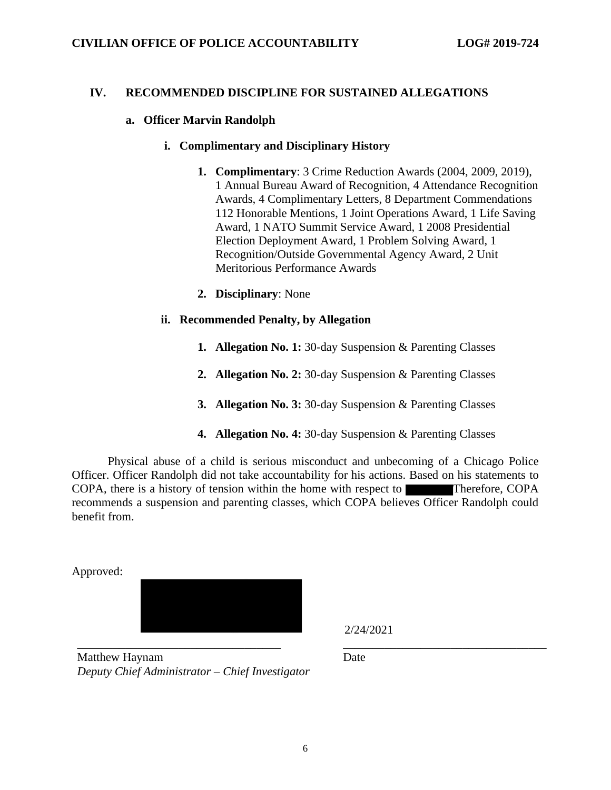#### **IV. RECOMMENDED DISCIPLINE FOR SUSTAINED ALLEGATIONS**

#### **a. Officer Marvin Randolph**

#### **i. Complimentary and Disciplinary History**

- **1. Complimentary**: 3 Crime Reduction Awards (2004, 2009, 2019), 1 Annual Bureau Award of Recognition, 4 Attendance Recognition Awards, 4 Complimentary Letters, 8 Department Commendations 112 Honorable Mentions, 1 Joint Operations Award, 1 Life Saving Award, 1 NATO Summit Service Award, 1 2008 Presidential Election Deployment Award, 1 Problem Solving Award, 1 Recognition/Outside Governmental Agency Award, 2 Unit Meritorious Performance Awards
- **2. Disciplinary**: None

#### **ii. Recommended Penalty, by Allegation**

- **1. Allegation No. 1:** 30-day Suspension & Parenting Classes
- **2. Allegation No. 2:** 30-day Suspension & Parenting Classes
- **3. Allegation No. 3:** 30-day Suspension & Parenting Classes
- **4. Allegation No. 4:** 30-day Suspension & Parenting Classes

Physical abuse of a child is serious misconduct and unbecoming of a Chicago Police Officer. Officer Randolph did not take accountability for his actions. Based on his statements to COPA, there is a history of tension within the home with respect to Therefore, COPA recommends a suspension and parenting classes, which COPA believes Officer Randolph could benefit from.

Approved:



\_\_\_\_\_\_\_\_\_\_\_\_\_\_\_\_\_\_\_\_\_\_\_\_\_\_\_\_\_\_\_\_\_\_ \_\_\_\_\_\_\_\_\_\_\_\_\_\_\_\_\_\_\_\_\_\_\_\_\_\_\_\_\_\_\_\_\_\_ Matthew Haynam *Deputy Chief Administrator – Chief Investigator*

2/24/2021

Date